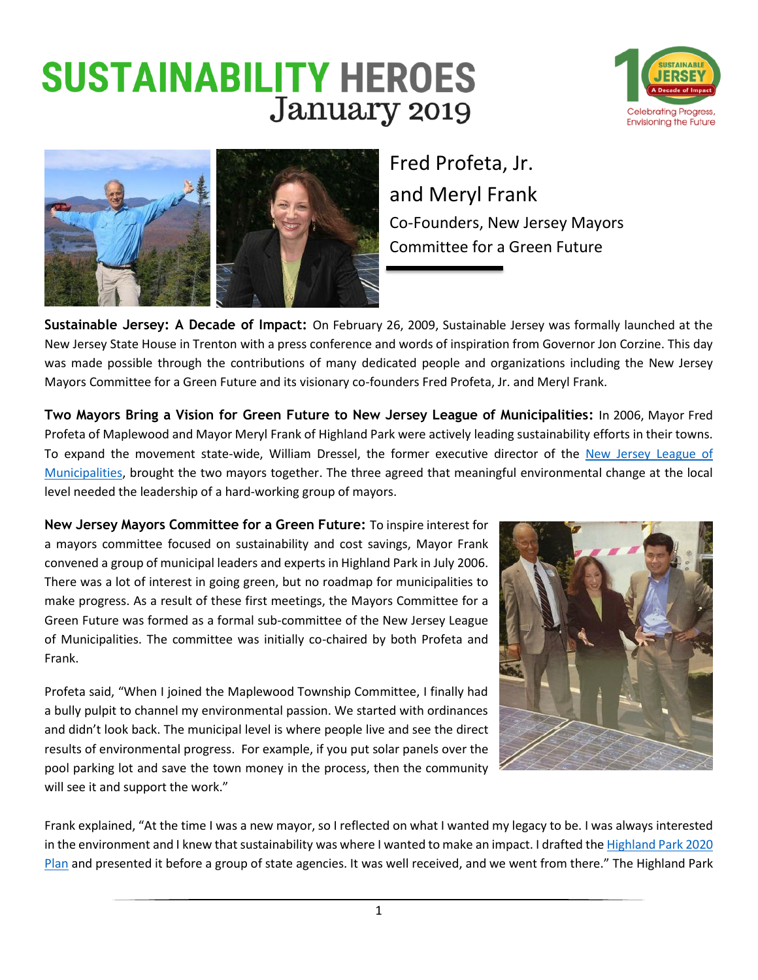## **SUSTAINABILITY HEROES** January 2019





Fred Profeta, Jr. and Meryl Frank Co-Founders, New Jersey Mayors Committee for a Green Future

**Sustainable Jersey: A Decade of Impact:** On February 26, 2009, Sustainable Jersey was formally launched at the New Jersey State House in Trenton with a press conference and words of inspiration from Governor Jon Corzine. This day was made possible through the contributions of many dedicated people and organizations including the New Jersey Mayors Committee for a Green Future and its visionary co-founders Fred Profeta, Jr. and Meryl Frank.

**Two Mayors Bring a Vision for Green Future to New Jersey League of Municipalities:** In 2006, Mayor Fred Profeta of Maplewood and Mayor Meryl Frank of Highland Park were actively leading sustainability efforts in their towns. To expand the movement state-wide, William Dressel, the former executive director of the [New Jersey League of](https://www.njlm.org/)  [Municipalities,](https://www.njlm.org/) brought the two mayors together. The three agreed that meaningful environmental change at the local level needed the leadership of a hard-working group of mayors.

**New Jersey Mayors Committee for a Green Future:** To inspire interest for a mayors committee focused on sustainability and cost savings, Mayor Frank convened a group of municipal leaders and experts in Highland Park in July 2006. There was a lot of interest in going green, but no roadmap for municipalities to make progress. As a result of these first meetings, the Mayors Committee for a Green Future was formed as a formal sub-committee of the New Jersey League of Municipalities. The committee was initially co-chaired by both Profeta and Frank.

Profeta said, "When I joined the Maplewood Township Committee, I finally had a bully pulpit to channel my environmental passion. We started with ordinances and didn't look back. The municipal level is where people live and see the direct results of environmental progress. For example, if you put solar panels over the pool parking lot and save the town money in the process, then the community will see it and support the work."



Frank explained, "At the time I was a new mayor, so I reflected on what I wanted my legacy to be. I was always interested in the environment and I knew that sustainability was where I wanted to make an impact. I drafted th[e Highland Park 2020](https://www.nj.gov/dep/opsc/docs/highland_park2020.pdf)  [Plan](https://www.nj.gov/dep/opsc/docs/highland_park2020.pdf) and presented it before a group of state agencies. It was well received, and we went from there." The Highland Park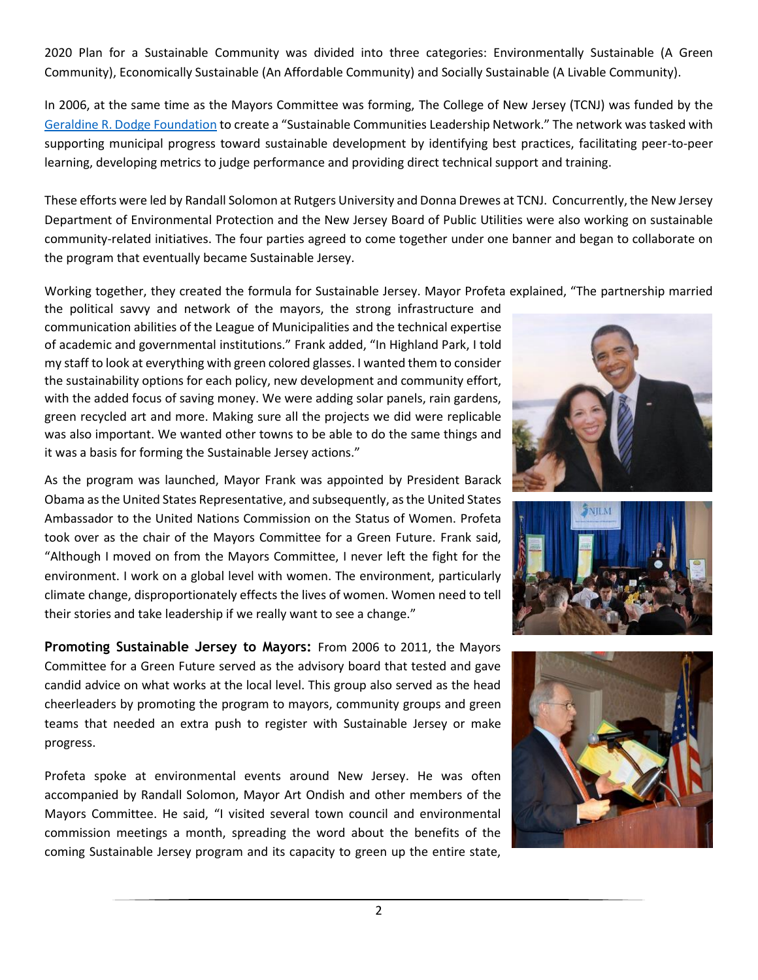2020 Plan for a Sustainable Community was divided into three categories: Environmentally Sustainable (A Green Community), Economically Sustainable (An Affordable Community) and Socially Sustainable (A Livable Community).

In 2006, at the same time as the Mayors Committee was forming, The College of New Jersey (TCNJ) was funded by the [Geraldine R. Dodge Foundation](http://www.grdodge.org/) to create a "Sustainable Communities Leadership Network." The network was tasked with supporting municipal progress toward sustainable development by identifying best practices, facilitating peer-to-peer learning, developing metrics to judge performance and providing direct technical support and training.

These efforts were led by Randall Solomon at Rutgers University and Donna Drewes at TCNJ. Concurrently, the New Jersey Department of Environmental Protection and the New Jersey Board of Public Utilities were also working on sustainable community-related initiatives. The four parties agreed to come together under one banner and began to collaborate on the program that eventually became Sustainable Jersey.

Working together, they created the formula for Sustainable Jersey. Mayor Profeta explained, "The partnership married

the political savvy and network of the mayors, the strong infrastructure and communication abilities of the League of Municipalities and the technical expertise of academic and governmental institutions." Frank added, "In Highland Park, I told my staff to look at everything with green colored glasses. I wanted them to consider the sustainability options for each policy, new development and community effort, with the added focus of saving money. We were adding solar panels, rain gardens, green recycled art and more. Making sure all the projects we did were replicable was also important. We wanted other towns to be able to do the same things and it was a basis for forming the Sustainable Jersey actions."

As the program was launched, Mayor Frank was appointed by President Barack Obama as the United States Representative, and subsequently, as the United States Ambassador to the United Nations Commission on the Status of Women. Profeta took over as the chair of the Mayors Committee for a Green Future. Frank said, "Although I moved on from the Mayors Committee, I never left the fight for the environment. I work on a global level with women. The environment, particularly climate change, disproportionately effects the lives of women. Women need to tell their stories and take leadership if we really want to see a change."

**Promoting Sustainable Jersey to Mayors:** From 2006 to 2011, the Mayors Committee for a Green Future served as the advisory board that tested and gave candid advice on what works at the local level. This group also served as the head cheerleaders by promoting the program to mayors, community groups and green teams that needed an extra push to register with Sustainable Jersey or make progress.

Profeta spoke at environmental events around New Jersey. He was often accompanied by Randall Solomon, Mayor Art Ondish and other members of the Mayors Committee. He said, "I visited several town council and environmental commission meetings a month, spreading the word about the benefits of the coming Sustainable Jersey program and its capacity to green up the entire state,





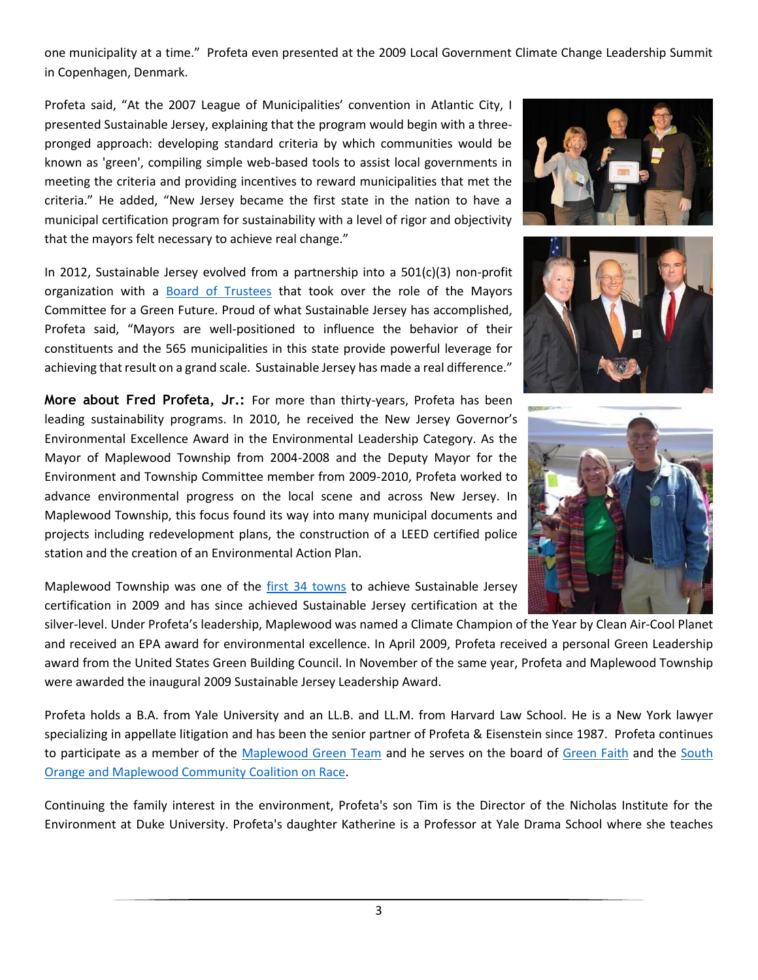one municipality at a time." Profeta even presented at the 2009 Local Government Climate Change Leadership Summit in Copenhagen, Denmark.

Profeta said, "At the 2007 League of Municipalities' convention in Atlantic City, I presented Sustainable Jersey, explaining that the program would begin with a threepronged approach: developing standard criteria by which communities would be known as 'green', compiling simple web-based tools to assist local governments in meeting the criteria and providing incentives to reward municipalities that met the criteria." He added, "New Jersey became the first state in the nation to have a municipal certification program for sustainability with a level of rigor and objectivity that the mayors felt necessary to achieve real change."

In 2012, Sustainable Jersey evolved from a partnership into a 501(c)(3) non-profit organization with a [Board of Trustees](http://www.sustainablejersey.com/about/board-of-trustees/) that took over the role of the Mayors Committee for a Green Future. Proud of what Sustainable Jersey has accomplished, Profeta said, "Mayors are well-positioned to influence the behavior of their constituents and the 565 municipalities in this state provide powerful leverage for achieving that result on a grand scale. Sustainable Jersey has made a real difference."

**More about Fred Profeta, Jr.:** For more than thirty-years, Profeta has been leading sustainability programs. In 2010, he received the New Jersey Governor's Environmental Excellence Award in the Environmental Leadership Category. As the Mayor of Maplewood Township from 2004-2008 and the Deputy Mayor for the Environment and Township Committee member from 2009-2010, Profeta worked to advance environmental progress on the local scene and across New Jersey. In Maplewood Township, this focus found its way into many municipal documents and projects including redevelopment plans, the construction of a LEED certified police station and the creation of an Environmental Action Plan.

Maplewood Township was one of the [first 34](http://www.sustainablejersey.com/media-communications/news-single-view/?tx_news_pi1%5Bnews%5D=49&tx_news_pi1%5Bcontroller%5D=News&tx_news_pi1%5Baction%5D=detail&cHash=ea6b33347f9f2ef2f80d5791058d9cc6) towns to achieve Sustainable Jersey certification in 2009 and has since achieved Sustainable Jersey certification at the

silver-level. Under Profeta's leadership, Maplewood was named a Climate Champion of the Year by Clean Air-Cool Planet and received an EPA award for environmental excellence. In April 2009, Profeta received a personal Green Leadership award from the United States Green Building Council. In November of the same year, Profeta and Maplewood Township were awarded the inaugural 2009 Sustainable Jersey Leadership Award.

Profeta holds a B.A. from Yale University and an LL.B. and LL.M. from Harvard Law School. He is a New York lawyer specializing in appellate litigation and has been the senior partner of Profeta & Eisenstein since 1987. Profeta continues to participate as a member of the [Maplewood Green Team](https://www.facebook.com/MaplewoodisGreen/) and he serves on the board of [Green Faith](https://greenfaith.org/index.html) and the [South](http://www.twotowns.org/)  [Orange and Maplewood Community Coalition on Race.](http://www.twotowns.org/)

Continuing the family interest in the environment, Profeta's son Tim is the Director of the Nicholas Institute for the Environment at Duke University. Profeta's daughter Katherine is a Professor at Yale Drama School where she teaches